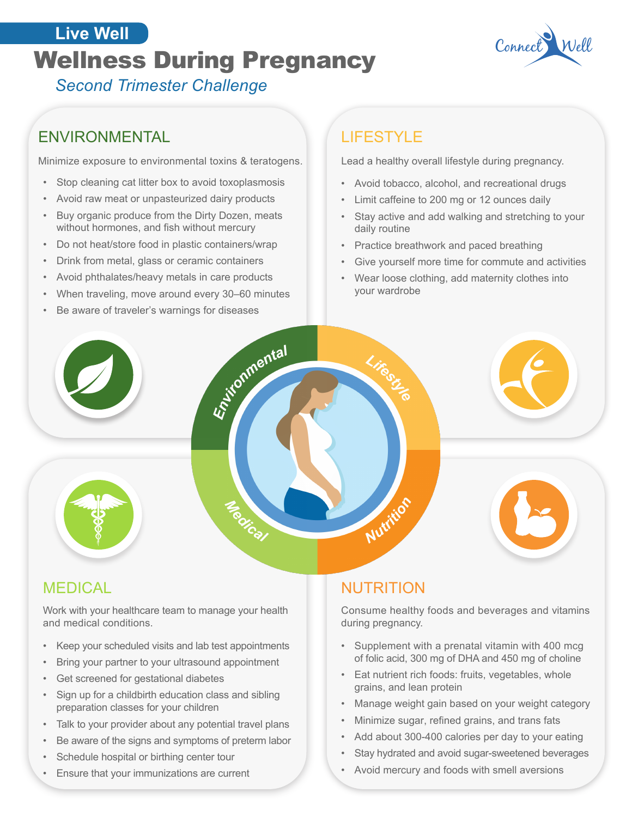## **Connect Wellness During Pregnancy** Connect **Live Well**



*Second Trimester Challenge*

### ENVIRONMENTAL

Minimize exposure to environmental toxins & teratogens.

- Stop cleaning cat litter box to avoid toxoplasmosis
- Avoid raw meat or unpasteurized dairy products
- Buy organic produce from the Dirty Dozen, meats without hormones, and fish without mercury
- Do not heat/store food in plastic containers/wrap
- Drink from metal, glass or ceramic containers
- Avoid phthalates/heavy metals in care products
- When traveling, move around every 30–60 minutes

Aristonmental

**Mical** 

Be aware of traveler's warnings for diseases

## LIFESTYLE

Lead a healthy overall lifestyle during pregnancy.

- Avoid tobacco, alcohol, and recreational drugs
- Limit caffeine to 200 mg or 12 ounces daily
- Stay active and add walking and stretching to your daily routine
- Practice breathwork and paced breathing
- Give yourself more time for commute and activities
- Wear loose clothing, add maternity clothes into your wardrobe



Work with your healthcare team to manage your health and medical conditions.

- Keep your scheduled visits and lab test appointments
- Bring your partner to your ultrasound appointment
- Get screened for gestational diabetes
- Sign up for a childbirth education class and sibling preparation classes for your children
- Talk to your provider about any potential travel plans
- Be aware of the signs and symptoms of preterm labor
- Schedule hospital or birthing center tour
- Ensure that your immunizations are current

### NUTRITION

Nutrition

Consume healthy foods and beverages and vitamins during pregnancy.

- Supplement with a prenatal vitamin with 400 mcg of folic acid, 300 mg of DHA and 450 mg of choline
- Eat nutrient rich foods: fruits, vegetables, whole grains, and lean protein
- Manage weight gain based on your weight category
- Minimize sugar, refined grains, and trans fats
- Add about 300-400 calories per day to your eating
- Stay hydrated and avoid sugar-sweetened beverages
- Avoid mercury and foods with smell aversions